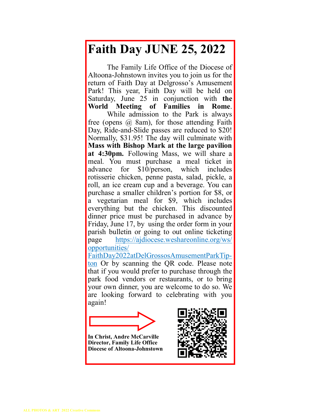## **Faith Day JUNE 25, 2022**

The Family Life Office of the Diocese of Altoona-Johnstown invites you to join us for the return of Faith Day at Delgrosso's Amusement Park! This year, Faith Day will be held on Saturday, June 25 in conjunction with **the World Meeting of Families in Rome**. While admission to the Park is always free (opens  $(a)$  8am), for those attending Faith Day, Ride-and-Slide passes are reduced to \$20! Normally, \$31.95! The day will culminate with **Mass with Bishop Mark at the large pavilion at 4:30pm.** Following Mass, we will share a meal. You must purchase a meal ticket in advance for \$10/person, which includes rotisserie chicken, penne pasta, salad, pickle, a roll, an ice cream cup and a beverage. You can purchase a smaller children's portion for \$8, or a vegetarian meal for \$9, which includes everything but the chicken. This discounted dinner price must be purchased in advance by Friday, June 17, by using the order form in your parish bulletin or going to out online ticketing page https://ajdiocese.weshareonline.org/ws/ opportunities/

FaithDay2022atDelGrossosAmusementParkTipton Or by scanning the QR code. Please note that if you would prefer to purchase through the park food vendors or restaurants, or to bring your own dinner, you are welcome to do so. We are looking forward to celebrating with you again!



**In Christ, Andre McCarville Director, Family Life Office Diocese of Altoona-Johnstown**